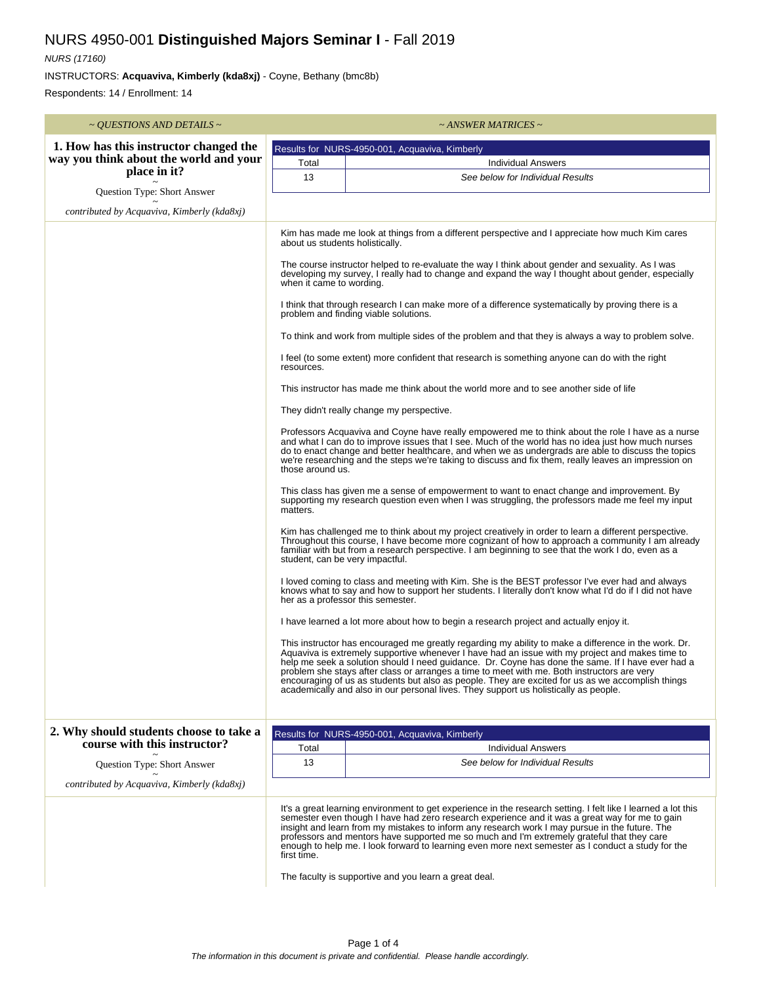## NURS 4950-001 **Distinguished Majors Seminar I** - Fall 2019

## NURS (17160)

INSTRUCTORS: **Acquaviva, Kimberly (kda8xj)** - Coyne, Bethany (bmc8b)

Respondents: 14 / Enrollment: 14

| $\sim$ QUESTIONS AND DETAILS $\sim$         | ~ ANSWER MATRICES ~                                                                                                                                                                                                                                                                                                                                                                                                                                                                                                                                                                                                                                                                                 |                                                |  |  |  |  |  |
|---------------------------------------------|-----------------------------------------------------------------------------------------------------------------------------------------------------------------------------------------------------------------------------------------------------------------------------------------------------------------------------------------------------------------------------------------------------------------------------------------------------------------------------------------------------------------------------------------------------------------------------------------------------------------------------------------------------------------------------------------------------|------------------------------------------------|--|--|--|--|--|
| 1. How has this instructor changed the      | Results for NURS-4950-001, Acquaviva, Kimberly                                                                                                                                                                                                                                                                                                                                                                                                                                                                                                                                                                                                                                                      |                                                |  |  |  |  |  |
| way you think about the world and your      | Total                                                                                                                                                                                                                                                                                                                                                                                                                                                                                                                                                                                                                                                                                               | <b>Individual Answers</b>                      |  |  |  |  |  |
| place in it?                                | 13                                                                                                                                                                                                                                                                                                                                                                                                                                                                                                                                                                                                                                                                                                  | See below for Individual Results               |  |  |  |  |  |
| Question Type: Short Answer                 |                                                                                                                                                                                                                                                                                                                                                                                                                                                                                                                                                                                                                                                                                                     |                                                |  |  |  |  |  |
| contributed by Acquaviva, Kimberly (kda8xj) |                                                                                                                                                                                                                                                                                                                                                                                                                                                                                                                                                                                                                                                                                                     |                                                |  |  |  |  |  |
|                                             | Kim has made me look at things from a different perspective and I appreciate how much Kim cares<br>about us students holistically.                                                                                                                                                                                                                                                                                                                                                                                                                                                                                                                                                                  |                                                |  |  |  |  |  |
|                                             | The course instructor helped to re-evaluate the way I think about gender and sexuality. As I was<br>developing my survey. I really had to change and expand the way I thought about gender, especially<br>when it came to wording.<br>I think that through research I can make more of a difference systematically by proving there is a<br>problem and finding viable solutions.<br>To think and work from multiple sides of the problem and that they is always a way to problem solve.<br>I feel (to some extent) more confident that research is something anyone can do with the right<br>resources.<br>This instructor has made me think about the world more and to see another side of life |                                                |  |  |  |  |  |
|                                             |                                                                                                                                                                                                                                                                                                                                                                                                                                                                                                                                                                                                                                                                                                     |                                                |  |  |  |  |  |
|                                             |                                                                                                                                                                                                                                                                                                                                                                                                                                                                                                                                                                                                                                                                                                     |                                                |  |  |  |  |  |
|                                             |                                                                                                                                                                                                                                                                                                                                                                                                                                                                                                                                                                                                                                                                                                     |                                                |  |  |  |  |  |
|                                             |                                                                                                                                                                                                                                                                                                                                                                                                                                                                                                                                                                                                                                                                                                     |                                                |  |  |  |  |  |
|                                             | They didn't really change my perspective.                                                                                                                                                                                                                                                                                                                                                                                                                                                                                                                                                                                                                                                           |                                                |  |  |  |  |  |
|                                             | Professors Acquaviva and Coyne have really empowered me to think about the role I have as a nurse<br>and what I can do to improve issues that I see. Much of the world has no idea just how much nurses<br>do to enact change and better healthcare, and when we as undergrads are able to discuss the topics<br>we're researching and the steps we're taking to discuss and fix them, really leaves an impression on<br>those around us.                                                                                                                                                                                                                                                           |                                                |  |  |  |  |  |
|                                             | This class has given me a sense of empowerment to want to enact change and improvement. By<br>supporting my research question even when I was struggling, the professors made me feel my input<br>matters.                                                                                                                                                                                                                                                                                                                                                                                                                                                                                          |                                                |  |  |  |  |  |
|                                             | Kim has challenged me to think about my project creatively in order to learn a different perspective.<br>Throughout this course, I have become more cognizant of how to approach a community I am already<br>familiar with but from a research perspective. I am beginning to see that the work I do, even as a<br>student, can be very impactful.<br>I loved coming to class and meeting with Kim. She is the BEST professor I've ever had and always<br>knows what to say and how to support her students. I literally don't know what I'd do if I did not have<br>her as a professor this semester.<br>I have learned a lot more about how to begin a research project and actually enjoy it.    |                                                |  |  |  |  |  |
|                                             |                                                                                                                                                                                                                                                                                                                                                                                                                                                                                                                                                                                                                                                                                                     |                                                |  |  |  |  |  |
|                                             |                                                                                                                                                                                                                                                                                                                                                                                                                                                                                                                                                                                                                                                                                                     |                                                |  |  |  |  |  |
|                                             | This instructor has encouraged me greatly regarding my ability to make a difference in the work. Dr.<br>Aquaviva is extremely supportive whenever I have had an issue with my project and makes time to<br>help me seek a solution should I need guidance. Dr. Coyne has done the same. If I have ever had a<br>problem she stays after class or arranges a time to meet with me. Both instructors are very<br>encouraging of us as students but also as people. They are excited for us as we accomplish things<br>academically and also in our personal lives. They support us holistically as people.                                                                                            |                                                |  |  |  |  |  |
| 2. Why should students choose to take a     |                                                                                                                                                                                                                                                                                                                                                                                                                                                                                                                                                                                                                                                                                                     | Results for NURS-4950-001, Acquaviva, Kimberly |  |  |  |  |  |
| course with this instructor?                | Total                                                                                                                                                                                                                                                                                                                                                                                                                                                                                                                                                                                                                                                                                               | <b>Individual Answers</b>                      |  |  |  |  |  |
| Question Type: Short Answer                 | 13                                                                                                                                                                                                                                                                                                                                                                                                                                                                                                                                                                                                                                                                                                  | See below for Individual Results               |  |  |  |  |  |
| contributed by Acquaviva, Kimberly (kda8xj) |                                                                                                                                                                                                                                                                                                                                                                                                                                                                                                                                                                                                                                                                                                     |                                                |  |  |  |  |  |
|                                             | It's a great learning environment to get experience in the research setting. I felt like I learned a lot this<br>semester even though I have had zero research experience and it was a great way for me to gain<br>insight and learn from my mistakes to inform any research work I may pursue in the future. The<br>professors and mentors have supported me so much and I'm extremely grateful that they care<br>enough to help me. I look forward to learning even more next semester as I conduct a study for the<br>first time.<br>The faculty is supportive and you learn a great deal.                                                                                                       |                                                |  |  |  |  |  |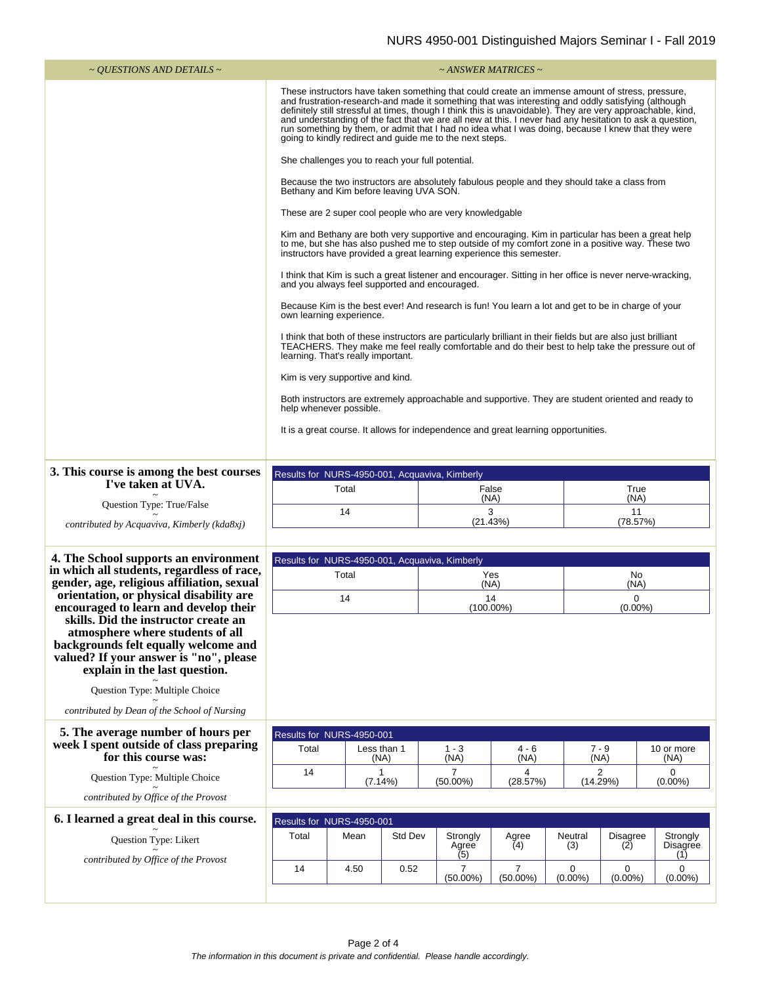| ~ QUESTIONS AND DETAILS ~                                                                                                                           | $\sim$ ANSWER MATRICES $\sim$                                                                                                                                                                                                                                                  |                                                                                                                                                                                                                                                                                                                                                                                                                                                                                                                                                                                                    |              |                                                |                  |                 |                        |                             |  |  |
|-----------------------------------------------------------------------------------------------------------------------------------------------------|--------------------------------------------------------------------------------------------------------------------------------------------------------------------------------------------------------------------------------------------------------------------------------|----------------------------------------------------------------------------------------------------------------------------------------------------------------------------------------------------------------------------------------------------------------------------------------------------------------------------------------------------------------------------------------------------------------------------------------------------------------------------------------------------------------------------------------------------------------------------------------------------|--------------|------------------------------------------------|------------------|-----------------|------------------------|-----------------------------|--|--|
|                                                                                                                                                     |                                                                                                                                                                                                                                                                                | These instructors have taken something that could create an immense amount of stress, pressure,<br>and frustration-research-and made it something that was interesting and oddly satisfying (although<br>definitely still stressful at times, though I think this is unavoidable). They are very approachable, kind,<br>and understanding of the fact that we are all new at this. I never had any hesitation to ask a question,<br>run something by them, or admit that I had no idea what I was doing, because I knew that they were<br>going to kindly redirect and guide me to the next steps. |              |                                                |                  |                 |                        |                             |  |  |
|                                                                                                                                                     | She challenges you to reach your full potential.                                                                                                                                                                                                                               |                                                                                                                                                                                                                                                                                                                                                                                                                                                                                                                                                                                                    |              |                                                |                  |                 |                        |                             |  |  |
|                                                                                                                                                     | Because the two instructors are absolutely fabulous people and they should take a class from<br>Bethany and Kim before leaving UVA SON.                                                                                                                                        |                                                                                                                                                                                                                                                                                                                                                                                                                                                                                                                                                                                                    |              |                                                |                  |                 |                        |                             |  |  |
|                                                                                                                                                     | These are 2 super cool people who are very knowledgable                                                                                                                                                                                                                        |                                                                                                                                                                                                                                                                                                                                                                                                                                                                                                                                                                                                    |              |                                                |                  |                 |                        |                             |  |  |
|                                                                                                                                                     | Kim and Bethany are both very supportive and encouraging. Kim in particular has been a great help<br>to me, but she has also pushed me to step outside of my comfort zone in a positive way. These two<br>instructors have provided a great learning experience this semester. |                                                                                                                                                                                                                                                                                                                                                                                                                                                                                                                                                                                                    |              |                                                |                  |                 |                        |                             |  |  |
|                                                                                                                                                     | I think that Kim is such a great listener and encourager. Sitting in her office is never nerve-wracking,<br>and you always feel supported and encouraged.                                                                                                                      |                                                                                                                                                                                                                                                                                                                                                                                                                                                                                                                                                                                                    |              |                                                |                  |                 |                        |                             |  |  |
|                                                                                                                                                     | Because Kim is the best ever! And research is fun! You learn a lot and get to be in charge of your<br>own learning experience.                                                                                                                                                 |                                                                                                                                                                                                                                                                                                                                                                                                                                                                                                                                                                                                    |              |                                                |                  |                 |                        |                             |  |  |
|                                                                                                                                                     | I think that both of these instructors are particularly brilliant in their fields but are also just brilliant<br>TEACHERS. They make me feel really comfortable and do their best to help take the pressure out of<br>learning. That's really important.                       |                                                                                                                                                                                                                                                                                                                                                                                                                                                                                                                                                                                                    |              |                                                |                  |                 |                        |                             |  |  |
|                                                                                                                                                     | Kim is very supportive and kind.                                                                                                                                                                                                                                               |                                                                                                                                                                                                                                                                                                                                                                                                                                                                                                                                                                                                    |              |                                                |                  |                 |                        |                             |  |  |
|                                                                                                                                                     | Both instructors are extremely approachable and supportive. They are student oriented and ready to                                                                                                                                                                             |                                                                                                                                                                                                                                                                                                                                                                                                                                                                                                                                                                                                    |              |                                                |                  |                 |                        |                             |  |  |
|                                                                                                                                                     | help whenever possible.<br>It is a great course. It allows for independence and great learning opportunities.                                                                                                                                                                  |                                                                                                                                                                                                                                                                                                                                                                                                                                                                                                                                                                                                    |              |                                                |                  |                 |                        |                             |  |  |
|                                                                                                                                                     |                                                                                                                                                                                                                                                                                |                                                                                                                                                                                                                                                                                                                                                                                                                                                                                                                                                                                                    |              |                                                |                  |                 |                        |                             |  |  |
| 3. This course is among the best courses                                                                                                            |                                                                                                                                                                                                                                                                                |                                                                                                                                                                                                                                                                                                                                                                                                                                                                                                                                                                                                    |              | Results for NURS-4950-001, Acquaviva, Kimberly |                  |                 |                        |                             |  |  |
| I've taken at UVA.<br>Question Type: True/False                                                                                                     | Total                                                                                                                                                                                                                                                                          |                                                                                                                                                                                                                                                                                                                                                                                                                                                                                                                                                                                                    |              | False<br>(NA)                                  |                  | True<br>(NA)    |                        |                             |  |  |
| contributed by Acquaviva, Kimberly (kda8xj)                                                                                                         | 14                                                                                                                                                                                                                                                                             |                                                                                                                                                                                                                                                                                                                                                                                                                                                                                                                                                                                                    |              | 3<br>(21.43%)                                  |                  | 11<br>(78.57%)  |                        |                             |  |  |
|                                                                                                                                                     |                                                                                                                                                                                                                                                                                |                                                                                                                                                                                                                                                                                                                                                                                                                                                                                                                                                                                                    |              |                                                |                  |                 |                        |                             |  |  |
| 4. The School supports an environment<br>in which all students, regardless of race,                                                                 | Results for NURS-4950-001, Acquaviva, Kimberly<br>Total<br>Yes<br>No.                                                                                                                                                                                                          |                                                                                                                                                                                                                                                                                                                                                                                                                                                                                                                                                                                                    |              |                                                |                  |                 |                        |                             |  |  |
| gender, age, religious affiliation, sexual<br>orientation, or physical disability are                                                               |                                                                                                                                                                                                                                                                                | 14                                                                                                                                                                                                                                                                                                                                                                                                                                                                                                                                                                                                 |              | (NA)<br>14                                     |                  |                 | (NA)                   |                             |  |  |
| encouraged to learn and develop their<br>skills. Did the instructor create an                                                                       |                                                                                                                                                                                                                                                                                |                                                                                                                                                                                                                                                                                                                                                                                                                                                                                                                                                                                                    |              |                                                | $(100.00\%)$     |                 |                        | $\Omega$<br>$(0.00\%)$      |  |  |
| atmosphere where students of all<br>backgrounds felt equally welcome and<br>valued? If your answer is "no", please<br>explain in the last question. |                                                                                                                                                                                                                                                                                |                                                                                                                                                                                                                                                                                                                                                                                                                                                                                                                                                                                                    |              |                                                |                  |                 |                        |                             |  |  |
| Question Type: Multiple Choice                                                                                                                      |                                                                                                                                                                                                                                                                                |                                                                                                                                                                                                                                                                                                                                                                                                                                                                                                                                                                                                    |              |                                                |                  |                 |                        |                             |  |  |
| contributed by Dean of the School of Nursing                                                                                                        |                                                                                                                                                                                                                                                                                |                                                                                                                                                                                                                                                                                                                                                                                                                                                                                                                                                                                                    |              |                                                |                  |                 |                        |                             |  |  |
| 5. The average number of hours per<br>week I spent outside of class preparing                                                                       | Results for NURS-4950-001                                                                                                                                                                                                                                                      |                                                                                                                                                                                                                                                                                                                                                                                                                                                                                                                                                                                                    |              |                                                |                  |                 |                        |                             |  |  |
| for this course was:                                                                                                                                |                                                                                                                                                                                                                                                                                | Total<br>Less than 1<br>(NA)                                                                                                                                                                                                                                                                                                                                                                                                                                                                                                                                                                       |              | $1 - 3$<br>(NA)                                | 4 - 6<br>(NA)    |                 | $7 - 9$<br>(NA)        | 10 or more<br>(NA)          |  |  |
| Question Type: Multiple Choice                                                                                                                      | 14                                                                                                                                                                                                                                                                             |                                                                                                                                                                                                                                                                                                                                                                                                                                                                                                                                                                                                    | 1<br>(7.14%) | $\overline{7}$<br>$(50.00\%)$                  | 4<br>(28.57%)    |                 | 2<br>(14.29%)          | 0<br>$(0.00\%)$             |  |  |
| contributed by Office of the Provost                                                                                                                |                                                                                                                                                                                                                                                                                |                                                                                                                                                                                                                                                                                                                                                                                                                                                                                                                                                                                                    |              |                                                |                  |                 |                        |                             |  |  |
| 6. I learned a great deal in this course.                                                                                                           | Results for NURS-4950-001                                                                                                                                                                                                                                                      |                                                                                                                                                                                                                                                                                                                                                                                                                                                                                                                                                                                                    |              |                                                |                  |                 |                        |                             |  |  |
| Question Type: Likert                                                                                                                               | Total                                                                                                                                                                                                                                                                          | Mean                                                                                                                                                                                                                                                                                                                                                                                                                                                                                                                                                                                               | Std Dev      | Strongly<br>Agree                              | Agree<br>(4)     | Neutral<br>(3)  | <b>Disagree</b><br>(2) | Strongly<br>Disagree<br>(1) |  |  |
| contributed by Office of the Provost                                                                                                                | 14                                                                                                                                                                                                                                                                             | 4.50                                                                                                                                                                                                                                                                                                                                                                                                                                                                                                                                                                                               | 0.52         | 7<br>$(50.00\%)$                               | 7<br>$(50.00\%)$ | 0<br>$(0.00\%)$ | 0<br>$(0.00\%)$        | 0<br>$(0.00\%)$             |  |  |
|                                                                                                                                                     |                                                                                                                                                                                                                                                                                |                                                                                                                                                                                                                                                                                                                                                                                                                                                                                                                                                                                                    |              |                                                |                  |                 |                        |                             |  |  |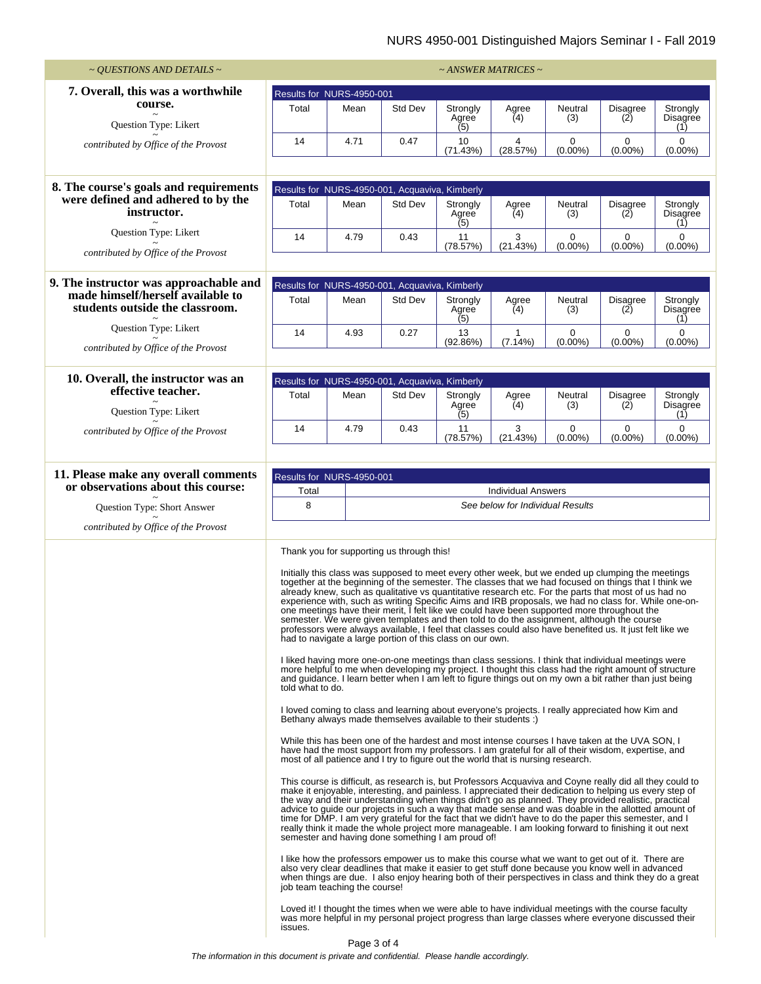## NURS 4950-001 Distinguished Majors Seminar I - Fall 2019

| $\sim$ QUESTIONS AND DETAILS $\sim$                                        |                                                                                                          |                               |                                                           |                                                                                                                                                                                 | $\sim$ ANSWER MATRICES $\sim$                                                                                                                                                                                                                                                                                                                                                                                                                                                                                                                                                                                                                                                                                                                                                                                                                                                                                                                                                                                                                                                                                                                                                                                                                                                                                                                                                                                                                                                                                                                                                                                                                                                                                                                                                                                                                                                                                                                                                                                                                                                                                                                                                                                                                                                                                                                                                                                                                                                                                                                                                                                                                             |                 |                           |                             |
|----------------------------------------------------------------------------|----------------------------------------------------------------------------------------------------------|-------------------------------|-----------------------------------------------------------|---------------------------------------------------------------------------------------------------------------------------------------------------------------------------------|-----------------------------------------------------------------------------------------------------------------------------------------------------------------------------------------------------------------------------------------------------------------------------------------------------------------------------------------------------------------------------------------------------------------------------------------------------------------------------------------------------------------------------------------------------------------------------------------------------------------------------------------------------------------------------------------------------------------------------------------------------------------------------------------------------------------------------------------------------------------------------------------------------------------------------------------------------------------------------------------------------------------------------------------------------------------------------------------------------------------------------------------------------------------------------------------------------------------------------------------------------------------------------------------------------------------------------------------------------------------------------------------------------------------------------------------------------------------------------------------------------------------------------------------------------------------------------------------------------------------------------------------------------------------------------------------------------------------------------------------------------------------------------------------------------------------------------------------------------------------------------------------------------------------------------------------------------------------------------------------------------------------------------------------------------------------------------------------------------------------------------------------------------------------------------------------------------------------------------------------------------------------------------------------------------------------------------------------------------------------------------------------------------------------------------------------------------------------------------------------------------------------------------------------------------------------------------------------------------------------------------------------------------------|-----------------|---------------------------|-----------------------------|
|                                                                            |                                                                                                          |                               |                                                           |                                                                                                                                                                                 |                                                                                                                                                                                                                                                                                                                                                                                                                                                                                                                                                                                                                                                                                                                                                                                                                                                                                                                                                                                                                                                                                                                                                                                                                                                                                                                                                                                                                                                                                                                                                                                                                                                                                                                                                                                                                                                                                                                                                                                                                                                                                                                                                                                                                                                                                                                                                                                                                                                                                                                                                                                                                                                           |                 |                           |                             |
| 7. Overall, this was a worthwhile<br>course.                               | Results for NURS-4950-001<br>Total                                                                       | Mean                          | Std Dev                                                   | Strongly                                                                                                                                                                        | Agree                                                                                                                                                                                                                                                                                                                                                                                                                                                                                                                                                                                                                                                                                                                                                                                                                                                                                                                                                                                                                                                                                                                                                                                                                                                                                                                                                                                                                                                                                                                                                                                                                                                                                                                                                                                                                                                                                                                                                                                                                                                                                                                                                                                                                                                                                                                                                                                                                                                                                                                                                                                                                                                     | Neutral         | <b>Disagree</b>           | Strongly                    |
| Question Type: Likert                                                      |                                                                                                          |                               |                                                           | Agree<br>(5)                                                                                                                                                                    | (4)                                                                                                                                                                                                                                                                                                                                                                                                                                                                                                                                                                                                                                                                                                                                                                                                                                                                                                                                                                                                                                                                                                                                                                                                                                                                                                                                                                                                                                                                                                                                                                                                                                                                                                                                                                                                                                                                                                                                                                                                                                                                                                                                                                                                                                                                                                                                                                                                                                                                                                                                                                                                                                                       | (3)             | (2)                       | Disagree<br>(1)             |
| contributed by Office of the Provost                                       | 14                                                                                                       | 4.71                          | 0.47                                                      | 10<br>(71.43%)                                                                                                                                                                  | 4<br>(28.57%)                                                                                                                                                                                                                                                                                                                                                                                                                                                                                                                                                                                                                                                                                                                                                                                                                                                                                                                                                                                                                                                                                                                                                                                                                                                                                                                                                                                                                                                                                                                                                                                                                                                                                                                                                                                                                                                                                                                                                                                                                                                                                                                                                                                                                                                                                                                                                                                                                                                                                                                                                                                                                                             | 0<br>$(0.00\%)$ | $\mathbf 0$<br>$(0.00\%)$ | $\mathbf 0$<br>$(0.00\%)$   |
| 8. The course's goals and requirements                                     |                                                                                                          |                               | Results for NURS-4950-001, Acquaviva, Kimberly            |                                                                                                                                                                                 |                                                                                                                                                                                                                                                                                                                                                                                                                                                                                                                                                                                                                                                                                                                                                                                                                                                                                                                                                                                                                                                                                                                                                                                                                                                                                                                                                                                                                                                                                                                                                                                                                                                                                                                                                                                                                                                                                                                                                                                                                                                                                                                                                                                                                                                                                                                                                                                                                                                                                                                                                                                                                                                           |                 |                           |                             |
| were defined and adhered to by the<br>instructor.                          | Total                                                                                                    | Mean                          | Std Dev                                                   | Strongly<br>Agree<br>(5)                                                                                                                                                        | Agree<br>(4)                                                                                                                                                                                                                                                                                                                                                                                                                                                                                                                                                                                                                                                                                                                                                                                                                                                                                                                                                                                                                                                                                                                                                                                                                                                                                                                                                                                                                                                                                                                                                                                                                                                                                                                                                                                                                                                                                                                                                                                                                                                                                                                                                                                                                                                                                                                                                                                                                                                                                                                                                                                                                                              | Neutral<br>(3)  | <b>Disagree</b><br>(2)    | Strongly<br>Disagree<br>(1) |
| Question Type: Likert                                                      | 14                                                                                                       | 4.79                          | 0.43                                                      | 11                                                                                                                                                                              | 3                                                                                                                                                                                                                                                                                                                                                                                                                                                                                                                                                                                                                                                                                                                                                                                                                                                                                                                                                                                                                                                                                                                                                                                                                                                                                                                                                                                                                                                                                                                                                                                                                                                                                                                                                                                                                                                                                                                                                                                                                                                                                                                                                                                                                                                                                                                                                                                                                                                                                                                                                                                                                                                         | 0               | $\mathbf 0$               | $\overline{0}$              |
| contributed by Office of the Provost                                       |                                                                                                          |                               |                                                           | (78.57%)                                                                                                                                                                        | (21.43%)                                                                                                                                                                                                                                                                                                                                                                                                                                                                                                                                                                                                                                                                                                                                                                                                                                                                                                                                                                                                                                                                                                                                                                                                                                                                                                                                                                                                                                                                                                                                                                                                                                                                                                                                                                                                                                                                                                                                                                                                                                                                                                                                                                                                                                                                                                                                                                                                                                                                                                                                                                                                                                                  | $(0.00\%)$      | $(0.00\%)$                | $(0.00\%)$                  |
| 9. The instructor was approachable and                                     |                                                                                                          |                               |                                                           |                                                                                                                                                                                 |                                                                                                                                                                                                                                                                                                                                                                                                                                                                                                                                                                                                                                                                                                                                                                                                                                                                                                                                                                                                                                                                                                                                                                                                                                                                                                                                                                                                                                                                                                                                                                                                                                                                                                                                                                                                                                                                                                                                                                                                                                                                                                                                                                                                                                                                                                                                                                                                                                                                                                                                                                                                                                                           |                 |                           |                             |
| made himself/herself available to<br>students outside the classroom.       | Total                                                                                                    | Mean                          | Results for NURS-4950-001, Acquaviva, Kimberly<br>Std Dev | Strongly<br>Agree                                                                                                                                                               | Agree<br>(4)                                                                                                                                                                                                                                                                                                                                                                                                                                                                                                                                                                                                                                                                                                                                                                                                                                                                                                                                                                                                                                                                                                                                                                                                                                                                                                                                                                                                                                                                                                                                                                                                                                                                                                                                                                                                                                                                                                                                                                                                                                                                                                                                                                                                                                                                                                                                                                                                                                                                                                                                                                                                                                              | Neutral<br>(3)  | Disagree<br>(2)           | Strongly<br><b>Disagree</b> |
| Question Type: Likert                                                      | 14                                                                                                       | 4.93                          | 0.27                                                      | (5)<br>13                                                                                                                                                                       | $\mathbf{1}$                                                                                                                                                                                                                                                                                                                                                                                                                                                                                                                                                                                                                                                                                                                                                                                                                                                                                                                                                                                                                                                                                                                                                                                                                                                                                                                                                                                                                                                                                                                                                                                                                                                                                                                                                                                                                                                                                                                                                                                                                                                                                                                                                                                                                                                                                                                                                                                                                                                                                                                                                                                                                                              | 0               | $\mathbf 0$               | (1)<br>0                    |
| contributed by Office of the Provost                                       |                                                                                                          |                               |                                                           | (92.86%)                                                                                                                                                                        | (7.14%)                                                                                                                                                                                                                                                                                                                                                                                                                                                                                                                                                                                                                                                                                                                                                                                                                                                                                                                                                                                                                                                                                                                                                                                                                                                                                                                                                                                                                                                                                                                                                                                                                                                                                                                                                                                                                                                                                                                                                                                                                                                                                                                                                                                                                                                                                                                                                                                                                                                                                                                                                                                                                                                   | $(0.00\%)$      | $(0.00\%)$                | $(0.00\%)$                  |
| 10. Overall, the instructor was an                                         |                                                                                                          |                               | Results for NURS-4950-001, Acquaviva, Kimberly            |                                                                                                                                                                                 |                                                                                                                                                                                                                                                                                                                                                                                                                                                                                                                                                                                                                                                                                                                                                                                                                                                                                                                                                                                                                                                                                                                                                                                                                                                                                                                                                                                                                                                                                                                                                                                                                                                                                                                                                                                                                                                                                                                                                                                                                                                                                                                                                                                                                                                                                                                                                                                                                                                                                                                                                                                                                                                           |                 |                           |                             |
| effective teacher.<br>Question Type: Likert                                | Total                                                                                                    | Mean                          | Std Dev                                                   | Strongly<br>Agree<br>(5)                                                                                                                                                        | Agree<br>(4)                                                                                                                                                                                                                                                                                                                                                                                                                                                                                                                                                                                                                                                                                                                                                                                                                                                                                                                                                                                                                                                                                                                                                                                                                                                                                                                                                                                                                                                                                                                                                                                                                                                                                                                                                                                                                                                                                                                                                                                                                                                                                                                                                                                                                                                                                                                                                                                                                                                                                                                                                                                                                                              | Neutral<br>(3)  | <b>Disagree</b><br>(2)    | Strongly<br>Disagree<br>(1) |
| contributed by Office of the Provost                                       | 14                                                                                                       | 4.79                          | 0.43                                                      | 11<br>(78.57%)                                                                                                                                                                  | 3<br>(21.43%)                                                                                                                                                                                                                                                                                                                                                                                                                                                                                                                                                                                                                                                                                                                                                                                                                                                                                                                                                                                                                                                                                                                                                                                                                                                                                                                                                                                                                                                                                                                                                                                                                                                                                                                                                                                                                                                                                                                                                                                                                                                                                                                                                                                                                                                                                                                                                                                                                                                                                                                                                                                                                                             | 0<br>$(0.00\%)$ | $\mathbf 0$<br>$(0.00\%)$ | 0<br>$(0.00\%)$             |
|                                                                            |                                                                                                          |                               |                                                           |                                                                                                                                                                                 |                                                                                                                                                                                                                                                                                                                                                                                                                                                                                                                                                                                                                                                                                                                                                                                                                                                                                                                                                                                                                                                                                                                                                                                                                                                                                                                                                                                                                                                                                                                                                                                                                                                                                                                                                                                                                                                                                                                                                                                                                                                                                                                                                                                                                                                                                                                                                                                                                                                                                                                                                                                                                                                           |                 |                           |                             |
| 11. Please make any overall comments<br>or observations about this course: | Results for NURS-4950-001<br>Total<br><b>Individual Answers</b><br>8<br>See below for Individual Results |                               |                                                           |                                                                                                                                                                                 |                                                                                                                                                                                                                                                                                                                                                                                                                                                                                                                                                                                                                                                                                                                                                                                                                                                                                                                                                                                                                                                                                                                                                                                                                                                                                                                                                                                                                                                                                                                                                                                                                                                                                                                                                                                                                                                                                                                                                                                                                                                                                                                                                                                                                                                                                                                                                                                                                                                                                                                                                                                                                                                           |                 |                           |                             |
| Question Type: Short Answer                                                |                                                                                                          |                               |                                                           |                                                                                                                                                                                 |                                                                                                                                                                                                                                                                                                                                                                                                                                                                                                                                                                                                                                                                                                                                                                                                                                                                                                                                                                                                                                                                                                                                                                                                                                                                                                                                                                                                                                                                                                                                                                                                                                                                                                                                                                                                                                                                                                                                                                                                                                                                                                                                                                                                                                                                                                                                                                                                                                                                                                                                                                                                                                                           |                 |                           |                             |
| contributed by Office of the Provost                                       |                                                                                                          |                               |                                                           |                                                                                                                                                                                 |                                                                                                                                                                                                                                                                                                                                                                                                                                                                                                                                                                                                                                                                                                                                                                                                                                                                                                                                                                                                                                                                                                                                                                                                                                                                                                                                                                                                                                                                                                                                                                                                                                                                                                                                                                                                                                                                                                                                                                                                                                                                                                                                                                                                                                                                                                                                                                                                                                                                                                                                                                                                                                                           |                 |                           |                             |
|                                                                            | told what to do.<br>issues.                                                                              | job team teaching the course! | Thank you for supporting us through this!                 | had to navigate a large portion of this class on our own.<br>Bethany always made themselves available to their students :)<br>semester and having done something I am proud of! | Initially this class was supposed to meet every other week, but we ended up clumping the meetings<br>together at the beginning of the semester. The classes that we had focused on things that I think we<br>already knew, such as qualitative vs quantitative research etc. For the parts that most of us had no<br>experience with, such as writing Specific Aims and IRB proposals, we had no class for. While one-on-<br>one meetings have their merit, I felt like we could have been supported more throughout the<br>semester. We were given templates and then told to do the assignment, although the course<br>professors were always available, I feel that classes could also have benefited us. It just felt like we<br>I liked having more one-on-one meetings than class sessions. I think that individual meetings were<br>more helpful to me when developing my project. I thought this class had the right amount of structure<br>and guidance. I learn better when I am left to figure things out on my own a bit rather than just being<br>I loved coming to class and learning about everyone's projects. I really appreciated how Kim and<br>While this has been one of the hardest and most intense courses I have taken at the UVA SON, I<br>have had the most support from my professors. I am grateful for all of their wisdom, expertise, and<br>most of all patience and I try to figure out the world that is nursing research.<br>This course is difficult, as research is, but Professors Acquaviva and Coyne really did all they could to<br>make it enjoyable, interesting, and painless. I appreciated their dedication to helping us every step of<br>the way and their understanding when things didn't go as planned. They provided realistic, practical<br>advice to guide our projects in such a way that made sense and was doable in the allotted amount of<br>time for DMP. I am very grateful for the fact that we didn't have to do the paper this semester, and I<br>really think it made the whole project more manageable. I am looking forward to finishing it out next<br>I like how the professors empower us to make this course what we want to get out of it. There are<br>also very clear deadlines that make it easier to get stuff done because you know well in advanced<br>when things are due. I also enjoy hearing both of their perspectives in class and think they do a great<br>Loved it! I thought the times when we were able to have individual meetings with the course faculty<br>was more helpful in my personal project progress than large classes where everyone discussed their |                 |                           |                             |
|                                                                            |                                                                                                          | Page 3 of 4                   |                                                           |                                                                                                                                                                                 |                                                                                                                                                                                                                                                                                                                                                                                                                                                                                                                                                                                                                                                                                                                                                                                                                                                                                                                                                                                                                                                                                                                                                                                                                                                                                                                                                                                                                                                                                                                                                                                                                                                                                                                                                                                                                                                                                                                                                                                                                                                                                                                                                                                                                                                                                                                                                                                                                                                                                                                                                                                                                                                           |                 |                           |                             |